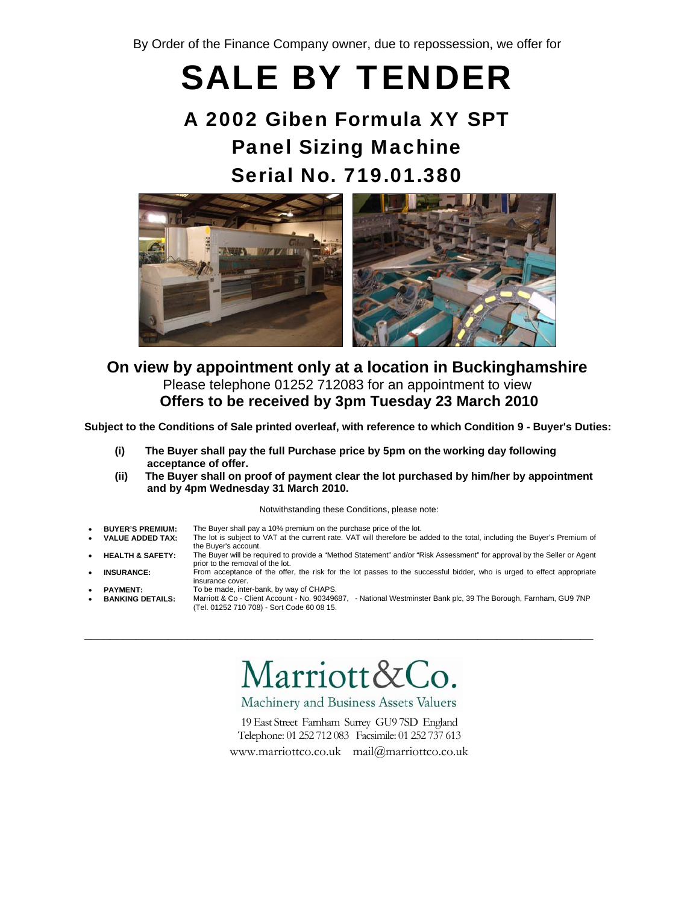By Order of the Finance Company owner, due to repossession, we offer for

# SALE BY TENDER

## A 2002 Giben Formula XY SPT Panel Sizing Machine Serial No. 719.01.380



## **On view by appointment only at a location in Buckinghamshire** Please telephone 01252 712083 for an appointment to view **Offers to be received by 3pm Tuesday 23 March 2010**

**Subject to the Conditions of Sale printed overleaf, with reference to which Condition 9 - Buyer's Duties:** 

- **(i) The Buyer shall pay the full Purchase price by 5pm on the working day following acceptance of offer.**
- **(ii) The Buyer shall on proof of payment clear the lot purchased by him/her by appointment and by 4pm Wednesday 31 March 2010.**

#### Notwithstanding these Conditions, please note:

- **BUYER'S PREMIUM:** The Buyer shall pay a 10% premium on the purchase price of the lot.
	- **VALUE ADDED TAX:** The lot is subject to VAT at the current rate. VAT will therefore be added to the total, including the Buyer's Premium of the Buyer's account.
	- **HEALTH & SAFETY:** The Buyer will be required to provide a "Method Statement" and/or "Risk Assessment" for approval by the Seller or Agent prior to the removal of the lot.
	- **INSURANCE:** From acceptance of the offer, the risk for the lot passes to the successful bidder, who is urged to effect appropriate insurance cover.
- 
- PAYMENT: To be made, inter-bank, by way of CHAPS. • **BANKING DETAILS:** Marriott & Co - Client Account - No. 90349687, - National Westminster Bank plc, 39 The Borough, Farnham, GU9 7NP (Tel. 01252 710 708) - Sort Code 60 08 15.

## Marriott&Co.

\_\_\_\_\_\_\_\_\_\_\_\_\_\_\_\_\_\_\_\_\_\_\_\_\_\_\_\_\_\_\_\_\_\_\_\_\_\_\_\_\_\_\_\_\_\_\_\_\_\_\_\_\_\_\_\_\_\_\_\_\_\_\_\_\_\_\_\_\_\_\_\_\_\_\_\_\_\_\_

Machinery and Business Assets Valuers

19 East Street Farnham Surrey GU9 7SD England Telephone: 01 252 712 083 Facsimile: 01 252 737 613

www.marriottco.co.uk mail@marriottco.co.uk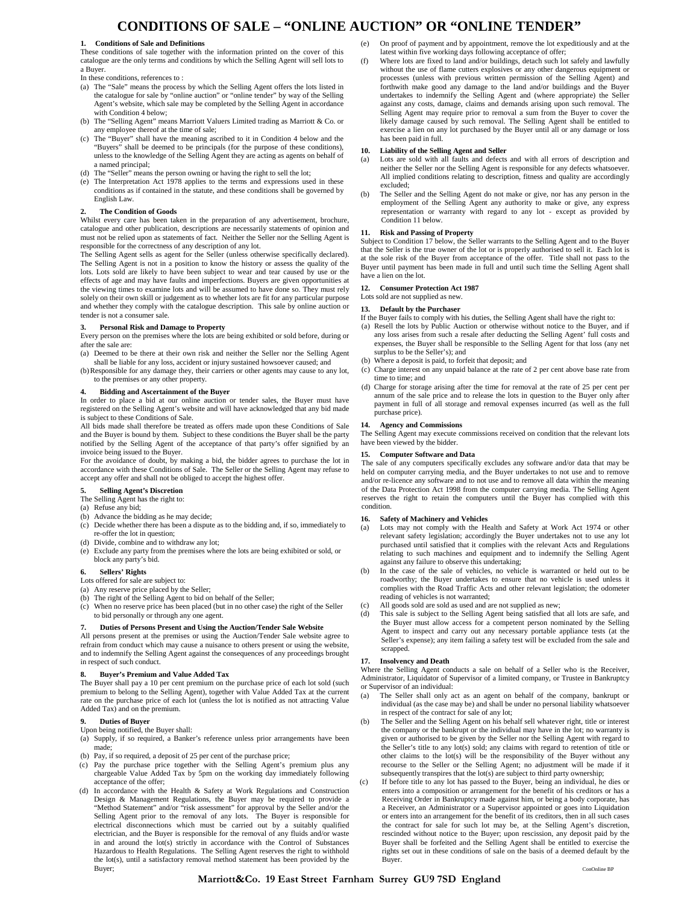## **CONDITIONS OF SALE – "ONLINE AUCTION" OR "ONLINE TENDER"**

#### **1. Conditions of Sale and Definitions**

These conditions of sale together with the information printed on the cover of this catalogue are the only terms and conditions by which the Selling Agent will sell lots to a Buyer.

In these conditions, references to :

- (a) The "Sale" means the process by which the Selling Agent offers the lots listed in the catalogue for sale by "online auction" or "online tender" by way of the Selling Agent's website, which sale may be completed by the Selling Agent in accordance with Condition 4 below:
- (b) The "Selling Agent" means Marriott Valuers Limited trading as Marriott & Co. or any employee thereof at the time of sale;
- (c) The "Buyer" shall have the meaning ascribed to it in Condition 4 below and the "Buyers" shall be deemed to be principals (for the purpose of these conditions), unless to the knowledge of the Selling Agent they are acting as agents on behalf of a named principal;
- (d) The "Seller" means the person owning or having the right to sell the lot;
- (e) The Interpretation Act 1978 applies to the terms and expressions used in these conditions as if contained in the statute, and these conditions shall be governed by English Law.

#### **2. The Condition of Goods**

Whilst every care has been taken in the preparation of any advertisement, brochure, catalogue and other publication, descriptions are necessarily statements of opinion and must not be relied upon as statements of fact. Neither the Seller nor the Selling Agent is responsible for the correctness of any description of any lot.

The Selling Agent sells as agent for the Seller (unless otherwise specifically declared). The Selling Agent is not in a position to know the history or assess the quality of the lots. Lots sold are likely to have been subject to wear and tear caused by use or the effects of age and may have faults and imperfections. Buyers are given opportunities at the viewing times to examine lots and will be assumed to have done so. They must rely solely on their own skill or judgement as to whether lots are fit for any particular purpose and whether they comply with the catalogue description. This sale by online auction or tender is not a consumer sale.

#### **3. Personal Risk and Damage to Property**

Every person on the premises where the lots are being exhibited or sold before, during or after the sale are:

(a) Deemed to be there at their own risk and neither the Seller nor the Selling Agent shall be liable for any loss, accident or injury sustained howsoever caused; and

(b) Responsible for any damage they, their carriers or other agents may cause to any lot, to the premises or any other property.

#### **4. Bidding and Ascertainment of the Buyer**

In order to place a bid at our online auction or tender sales, the Buyer must have registered on the Selling Agent's website and will have acknowledged that any bid made is subject to these Conditions of Sale.

All bids made shall therefore be treated as offers made upon these Conditions of Sale and the Buyer is bound by them. Subject to these conditions the Buyer shall be the party notified by the Selling Agent of the acceptance of that party's offer signified by an invoice being issued to the Buyer.

For the avoidance of doubt, by making a bid, the bidder agrees to purchase the lot in accordance with these Conditions of Sale. The Seller or the Selling Agent may refuse to accept any offer and shall not be obliged to accept the highest offer.

#### **5. Selling Agent's Discretion**

#### The Selling Agent has the right to:

- (a) Refuse any bid;
- (b) Advance the bidding as he may decide;
- (c) Decide whether there has been a dispute as to the bidding and, if so, immediately to re-offer the lot in question;
- (d) Divide, combine and to withdraw any lot;
- (e) Exclude any party from the premises where the lots are being exhibited or sold, or block any party's bid.

#### **6. Sellers' Rights**

- Lots offered for sale are subject to:
- (a) Any reserve price placed by the Seller;
- (b) The right of the Selling Agent to bid on behalf of the Seller;
- (c) When no reserve price has been placed (but in no other case) the right of the Seller to bid personally or through any one agent.

#### **7. Duties of Persons Present and Using the Auction/Tender Sale Website**

All persons present at the premises or using the Auction/Tender Sale website agree to refrain from conduct which may cause a nuisance to others present or using the website, and to indemnify the Selling Agent against the consequences of any proceedings brought in respect of such conduct.

#### **8. Buyer's Premium and Value Added Tax**

The Buyer shall pay a 10 per cent premium on the purchase price of each lot sold (such premium to belong to the Selling Agent), together with Value Added Tax at the current rate on the purchase price of each lot (unless the lot is notified as not attracting Value Added Tax) and on the premium.

#### **9. Duties of Buyer**

Upon being notified, the Buyer shall:

- (a) Supply, if so required, a Banker's reference unless prior arrangements have been made;
- (b) Pay, if so required, a deposit of 25 per cent of the purchase price;
- (c) Pay the purchase price together with the Selling Agent's premium plus any chargeable Value Added Tax by 5pm on the working day immediately following acceptance of the offer;
- (d) In accordance with the Health & Safety at Work Regulations and Construction Design & Management Regulations, the Buyer may be required to provide a "Method Statement" and/or "risk assessment" for approval by the Seller and/or the Selling Agent prior to the removal of any lots. The Buyer is responsible for electrical disconnections which must be carried out by a suitably qualified electrician, and the Buyer is responsible for the removal of any fluids and/or waste in and around the lot(s) strictly in accordance with the Control of Substances Hazardous to Health Regulations. The Selling Agent reserves the right to withhold the lot(s), until a satisfactory removal method statement has been provided by the Buyer;
- (e) On proof of payment and by appointment, remove the lot expeditiously and at the latest within five working days following acceptance of offer;
- (f) Where lots are fixed to land and/or buildings, detach such lot safely and lawfully without the use of flame cutters explosives or any other dangerous equipment or processes (unless with previous written permission of the Selling Agent) and forthwith make good any damage to the land and/or buildings and the Buyer undertakes to indemnify the Selling Agent and (where appropriate) the Seller against any costs, damage, claims and demands arising upon such removal. The Selling Agent may require prior to removal a sum from the Buyer to cover the likely damage caused by such removal. The Selling Agent shall be entitled to exercise a lien on any lot purchased by the Buyer until all or any damage or loss has been paid in full.

#### **10. Liability of the Selling Agent and Seller**

- (a) Lots are sold with all faults and defects and with all errors of description and neither the Seller nor the Selling Agent is responsible for any defects whatsoever. All implied conditions relating to description, fitness and quality are accordingly excluded;
- (b) The Seller and the Selling Agent do not make or give, nor has any person in the employment of the Selling Agent any authority to make or give, any express representation or warranty with regard to any lot - except as provided by Condition 11 below.

#### **11. Risk and Passing of Property**

Subject to Condition 17 below, the Seller warrants to the Selling Agent and to the Buyer that the Seller is the true owner of the lot or is properly authorised to sell it. Each lot is at the sole risk of the Buyer from acceptance of the offer. Title shall not pass to the Buyer until payment has been made in full and until such time the Selling Agent shall have a lien on the lot.

#### **12. Consumer Protection Act 1987**

Lots sold are not supplied as new

#### **13. Default by the Purchaser**

If the Buyer fails to comply with his duties, the Selling Agent shall have the right to:

- (a) Resell the lots by Public Auction or otherwise without notice to the Buyer, and if any loss arises from such a resale after deducting the Selling Agent' full costs and expenses, the Buyer shall be responsible to the Selling Agent for that loss (any net surplus to be the Seller's); and
- (b) Where a deposit is paid, to forfeit that deposit; and
- (c) Charge interest on any unpaid balance at the rate of 2 per cent above base rate from time to time; and
- (d) Charge for storage arising after the time for removal at the rate of 25 per cent per annum of the sale price and to release the lots in question to the Buyer only after payment in full of all storage and removal expenses incurred (as well as the full purchase price).

#### **14. Agency and Commissions**

The Selling Agent may execute commissions received on condition that the relevant lots have been viewed by the bidder.

#### **15. Computer Software and Data**

The sale of any computers specifically excludes any software and/or data that may be held on computer carrying media, and the Buyer undertakes to not use and to remove and/or re-licence any software and to not use and to remove all data within the meaning of the Data Protection Act 1998 from the computer carrying media. The Selling Agent reserves the right to retain the computers until the Buyer has complied with this condition.

#### **16. Safety of Machinery and Vehicles**

- (a) Lots may not comply with the Health and Safety at Work Act 1974 or other relevant safety legislation; accordingly the Buyer undertakes not to use any lot purchased until satisfied that it complies with the relevant Acts and Regulations relating to such machines and equipment and to indemnify the Selling Agent against any failure to observe this undertaking;
- (b) In the case of the sale of vehicles, no vehicle is warranted or held out to be roadworthy; the Buyer undertakes to ensure that no vehicle is used unless it complies with the Road Traffic Acts and other relevant legislation; the odometer reading of vehicles is not warranted;
- (c) All goods sold are sold as used and are not supplied as new;
- (d) This sale is subject to the Selling Agent being satisfied that all lots are safe, and the Buyer must allow access for a competent person nominated by the Selling Agent to inspect and carry out any necessary portable appliance tests (at the Seller's expense); any item failing a safety test will be excluded from the sale and scrapped.

#### **17. Insolvency and Death**

Where the Selling Agent conducts a sale on behalf of a Seller who is the Receiver, Administrator, Liquidator of Supervisor of a limited company, or Trustee in Bankruptcy or Supervisor of an individual:

- The Seller shall only act as an agent on behalf of the company, bankrupt or individual (as the case may be) and shall be under no personal liability whatsoever in respect of the contract for sale of any lot;
- (b) The Seller and the Selling Agent on his behalf sell whatever right, title or interest the company or the bankrupt or the individual may have in the lot; no warranty is given or authorised to be given by the Seller nor the Selling Agent with regard to the Seller's title to any lot(s) sold; any claims with regard to retention of title or other claims to the lot(s) will be the responsibility of the Buyer without any recourse to the Seller or the Selling Agent; no adjustment will be made if it subsequently transpires that the lot(s) are subject to third party ownership;
- (c) If before title to any lot has passed to the Buyer, being an individual, he dies or enters into a composition or arrangement for the benefit of his creditors or has a Receiving Order in Bankruptcy made against him, or being a body corporate, has a Receiver, an Administrator or a Supervisor appointed or goes into Liquidation or enters into an arrangement for the benefit of its creditors, then in all such cases the contract for sale for such lot may be, at the Selling Agent's discretion, rescinded without notice to the Buyer; upon rescission, any deposit paid by the Buyer shall be forfeited and the Selling Agent shall be entitled to exercise the rights set out in these conditions of sale on the basis of a deemed default by the Buyer.